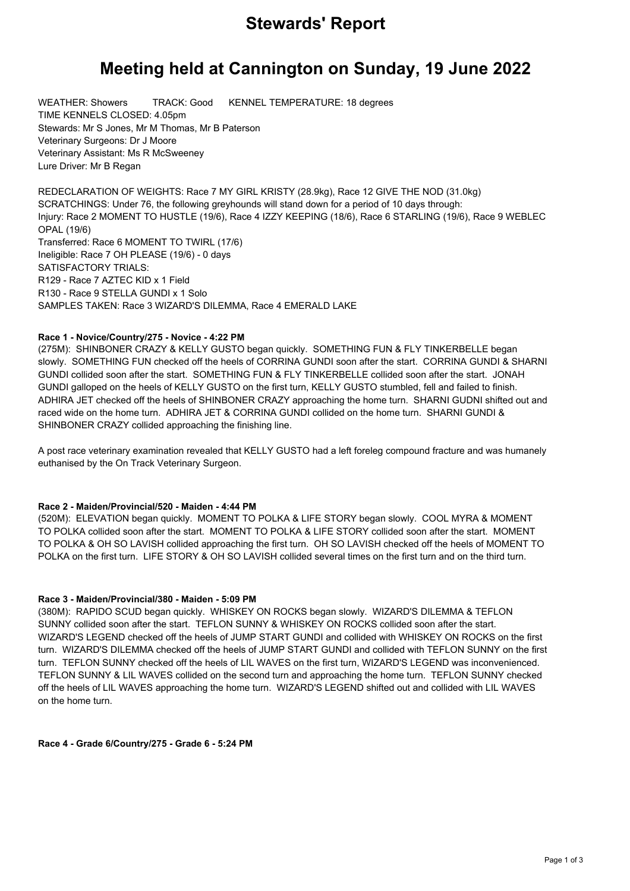## **Stewards' Report**

# **Meeting held at Cannington on Sunday, 19 June 2022**

WEATHER: Showers TRACK: Good KENNEL TEMPERATURE: 18 degrees TIME KENNELS CLOSED: 4.05pm Stewards: Mr S Jones, Mr M Thomas, Mr B Paterson Veterinary Surgeons: Dr J Moore Veterinary Assistant: Ms R McSweeney Lure Driver: Mr B Regan

REDECLARATION OF WEIGHTS: Race 7 MY GIRL KRISTY (28.9kg), Race 12 GIVE THE NOD (31.0kg) SCRATCHINGS: Under 76, the following greyhounds will stand down for a period of 10 days through: Injury: Race 2 MOMENT TO HUSTLE (19/6), Race 4 IZZY KEEPING (18/6), Race 6 STARLING (19/6), Race 9 WEBLEC OPAL (19/6) Transferred: Race 6 MOMENT TO TWIRL (17/6) Ineligible: Race 7 OH PLEASE (19/6) - 0 days SATISFACTORY TRIALS: R129 - Race 7 AZTEC KID x 1 Field R130 - Race 9 STELLA GUNDI x 1 Solo SAMPLES TAKEN: Race 3 WIZARD'S DILEMMA, Race 4 EMERALD LAKE

## **Race 1 - Novice/Country/275 - Novice - 4:22 PM**

(275M): SHINBONER CRAZY & KELLY GUSTO began quickly. SOMETHING FUN & FLY TINKERBELLE began slowly. SOMETHING FUN checked off the heels of CORRINA GUNDI soon after the start. CORRINA GUNDI & SHARNI GUNDI collided soon after the start. SOMETHING FUN & FLY TINKERBELLE collided soon after the start. JONAH GUNDI galloped on the heels of KELLY GUSTO on the first turn, KELLY GUSTO stumbled, fell and failed to finish. ADHIRA JET checked off the heels of SHINBONER CRAZY approaching the home turn. SHARNI GUDNI shifted out and raced wide on the home turn. ADHIRA JET & CORRINA GUNDI collided on the home turn. SHARNI GUNDI & SHINBONER CRAZY collided approaching the finishing line.

A post race veterinary examination revealed that KELLY GUSTO had a left foreleg compound fracture and was humanely euthanised by the On Track Veterinary Surgeon.

## **Race 2 - Maiden/Provincial/520 - Maiden - 4:44 PM**

(520M): ELEVATION began quickly. MOMENT TO POLKA & LIFE STORY began slowly. COOL MYRA & MOMENT TO POLKA collided soon after the start. MOMENT TO POLKA & LIFE STORY collided soon after the start. MOMENT TO POLKA & OH SO LAVISH collided approaching the first turn. OH SO LAVISH checked off the heels of MOMENT TO POLKA on the first turn. LIFE STORY & OH SO LAVISH collided several times on the first turn and on the third turn.

## **Race 3 - Maiden/Provincial/380 - Maiden - 5:09 PM**

(380M): RAPIDO SCUD began quickly. WHISKEY ON ROCKS began slowly. WIZARD'S DILEMMA & TEFLON SUNNY collided soon after the start. TEFLON SUNNY & WHISKEY ON ROCKS collided soon after the start. WIZARD'S LEGEND checked off the heels of JUMP START GUNDI and collided with WHISKEY ON ROCKS on the first turn. WIZARD'S DILEMMA checked off the heels of JUMP START GUNDI and collided with TEFLON SUNNY on the first turn. TEFLON SUNNY checked off the heels of LIL WAVES on the first turn, WIZARD'S LEGEND was inconvenienced. TEFLON SUNNY & LIL WAVES collided on the second turn and approaching the home turn. TEFLON SUNNY checked off the heels of LIL WAVES approaching the home turn. WIZARD'S LEGEND shifted out and collided with LIL WAVES on the home turn.

**Race 4 - Grade 6/Country/275 - Grade 6 - 5:24 PM**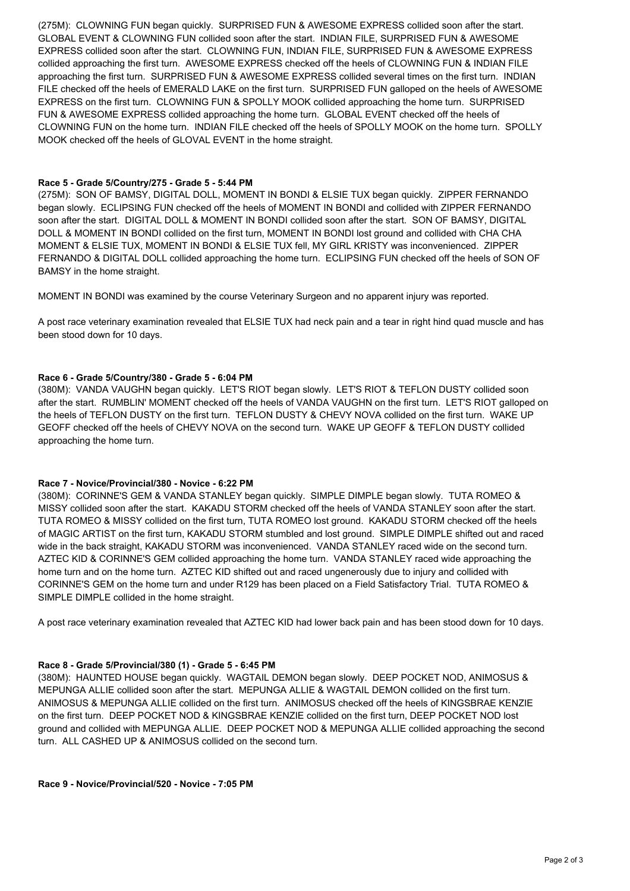(275M): CLOWNING FUN began quickly. SURPRISED FUN & AWESOME EXPRESS collided soon after the start. GLOBAL EVENT & CLOWNING FUN collided soon after the start. INDIAN FILE, SURPRISED FUN & AWESOME EXPRESS collided soon after the start. CLOWNING FUN, INDIAN FILE, SURPRISED FUN & AWESOME EXPRESS collided approaching the first turn. AWESOME EXPRESS checked off the heels of CLOWNING FUN & INDIAN FILE approaching the first turn. SURPRISED FUN & AWESOME EXPRESS collided several times on the first turn. INDIAN FILE checked off the heels of EMERALD LAKE on the first turn. SURPRISED FUN galloped on the heels of AWESOME EXPRESS on the first turn. CLOWNING FUN & SPOLLY MOOK collided approaching the home turn. SURPRISED FUN & AWESOME EXPRESS collided approaching the home turn. GLOBAL EVENT checked off the heels of CLOWNING FUN on the home turn. INDIAN FILE checked off the heels of SPOLLY MOOK on the home turn. SPOLLY MOOK checked off the heels of GLOVAL EVENT in the home straight.

#### **Race 5 - Grade 5/Country/275 - Grade 5 - 5:44 PM**

(275M): SON OF BAMSY, DIGITAL DOLL, MOMENT IN BONDI & ELSIE TUX began quickly. ZIPPER FERNANDO began slowly. ECLIPSING FUN checked off the heels of MOMENT IN BONDI and collided with ZIPPER FERNANDO soon after the start. DIGITAL DOLL & MOMENT IN BONDI collided soon after the start. SON OF BAMSY, DIGITAL DOLL & MOMENT IN BONDI collided on the first turn, MOMENT IN BONDI lost ground and collided with CHA CHA MOMENT & ELSIE TUX, MOMENT IN BONDI & ELSIE TUX fell, MY GIRL KRISTY was inconvenienced. ZIPPER FERNANDO & DIGITAL DOLL collided approaching the home turn. ECLIPSING FUN checked off the heels of SON OF BAMSY in the home straight.

MOMENT IN BONDI was examined by the course Veterinary Surgeon and no apparent injury was reported.

A post race veterinary examination revealed that ELSIE TUX had neck pain and a tear in right hind quad muscle and has been stood down for 10 days.

#### **Race 6 - Grade 5/Country/380 - Grade 5 - 6:04 PM**

(380M): VANDA VAUGHN began quickly. LET'S RIOT began slowly. LET'S RIOT & TEFLON DUSTY collided soon after the start. RUMBLIN' MOMENT checked off the heels of VANDA VAUGHN on the first turn. LET'S RIOT galloped on the heels of TEFLON DUSTY on the first turn. TEFLON DUSTY & CHEVY NOVA collided on the first turn. WAKE UP GEOFF checked off the heels of CHEVY NOVA on the second turn. WAKE UP GEOFF & TEFLON DUSTY collided approaching the home turn.

## **Race 7 - Novice/Provincial/380 - Novice - 6:22 PM**

(380M): CORINNE'S GEM & VANDA STANLEY began quickly. SIMPLE DIMPLE began slowly. TUTA ROMEO & MISSY collided soon after the start. KAKADU STORM checked off the heels of VANDA STANLEY soon after the start. TUTA ROMEO & MISSY collided on the first turn, TUTA ROMEO lost ground. KAKADU STORM checked off the heels of MAGIC ARTIST on the first turn, KAKADU STORM stumbled and lost ground. SIMPLE DIMPLE shifted out and raced wide in the back straight, KAKADU STORM was inconvenienced. VANDA STANLEY raced wide on the second turn. AZTEC KID & CORINNE'S GEM collided approaching the home turn. VANDA STANLEY raced wide approaching the home turn and on the home turn. AZTEC KID shifted out and raced ungenerously due to injury and collided with CORINNE'S GEM on the home turn and under R129 has been placed on a Field Satisfactory Trial. TUTA ROMEO & SIMPLE DIMPLE collided in the home straight.

A post race veterinary examination revealed that AZTEC KID had lower back pain and has been stood down for 10 days.

## **Race 8 - Grade 5/Provincial/380 (1) - Grade 5 - 6:45 PM**

(380M): HAUNTED HOUSE began quickly. WAGTAIL DEMON began slowly. DEEP POCKET NOD, ANIMOSUS & MEPUNGA ALLIE collided soon after the start. MEPUNGA ALLIE & WAGTAIL DEMON collided on the first turn. ANIMOSUS & MEPUNGA ALLIE collided on the first turn. ANIMOSUS checked off the heels of KINGSBRAE KENZIE on the first turn. DEEP POCKET NOD & KINGSBRAE KENZIE collided on the first turn, DEEP POCKET NOD lost ground and collided with MEPUNGA ALLIE. DEEP POCKET NOD & MEPUNGA ALLIE collided approaching the second turn. ALL CASHED UP & ANIMOSUS collided on the second turn.